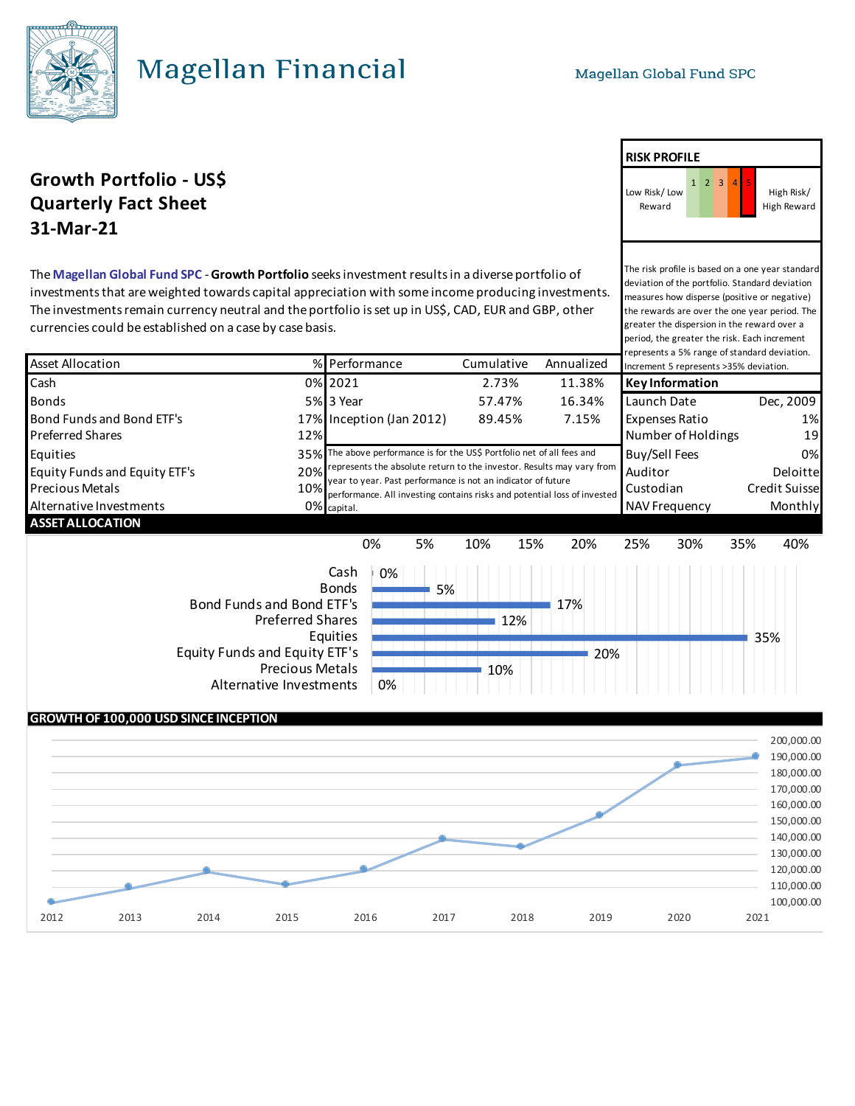## Magellan Financial

### **Growth Portfolio - US\$** 1 2 3 **Quarterly Fact Sheet 31-Mar-21**

The **Magellan Global Fund SPC** - **Growth Portfolio** seeks investment results in a diverse portfolio of investments that are weighted towards capital appreciation with some income producing investments. The investments remain currency neutral and the portfolio is set up in US\$, CAD, EUR and GBP, other currencies could be established on a case by case basis.

| <b>Asset Allocation</b>                                                                                          |            | % Performance                                                                                                                                                                                                     | Cumulative | Annualized           | represents a 5% range of standard deviation.<br>Increment 5 represents >35% deviation. |            |
|------------------------------------------------------------------------------------------------------------------|------------|-------------------------------------------------------------------------------------------------------------------------------------------------------------------------------------------------------------------|------------|----------------------|----------------------------------------------------------------------------------------|------------|
| Cash                                                                                                             |            | 0% 2021                                                                                                                                                                                                           | 2.73%      | 11.38%               | Key Information                                                                        |            |
| <b>Bonds</b>                                                                                                     |            | 5% 3 Year                                                                                                                                                                                                         | 57.47%     | 16.34%               | Launch Date                                                                            | Dec, 2009  |
| Bond Funds and Bond ETF's                                                                                        |            | 17% Inception (Jan 2012)                                                                                                                                                                                          | 89.45%     | 7.15%                | <b>Expenses Ratio</b>                                                                  | 1%         |
| <b>Preferred Shares</b>                                                                                          | 12%        |                                                                                                                                                                                                                   |            |                      | Number of Holdings                                                                     | 19         |
| Equities                                                                                                         |            | 35% The above performance is for the US\$ Portfolio net of all fees and                                                                                                                                           |            |                      | Buy/Sell Fees                                                                          | 0%         |
| Equity Funds and Equity ETF's<br><b>Precious Metals</b>                                                          | 20%<br>10% | represents the absolute return to the investor. Results may vary from<br>year to year. Past performance is not an indicator of future<br>performance. All investing contains risks and potential loss of invested |            | Auditor<br>Custodian | Deloitte<br><b>Credit Suisse</b>                                                       |            |
| Alternative Investments                                                                                          |            | 0% capital.                                                                                                                                                                                                       |            |                      | <b>NAV Frequency</b>                                                                   | Monthly    |
| <b>ASSET ALLOCATION</b>                                                                                          |            |                                                                                                                                                                                                                   |            |                      |                                                                                        |            |
|                                                                                                                  |            | 0%<br>5%                                                                                                                                                                                                          | 10%<br>15% | 20%                  | 30%<br>25%                                                                             | 40%<br>35% |
| Bond Funds and Bond ETF's<br><b>Preferred Shares</b><br>Equity Funds and Equity ETF's<br>Alternative Investments |            | Cash<br>0%<br><b>Bonds</b><br>5%<br>Equities<br><b>Precious Metals</b><br>0%                                                                                                                                      | 12%<br>10% | 17%<br>20%           |                                                                                        | 35%        |

#### **GROWTH OF 100,000 USD SINCE INCEPTION** 100,000.00 110,000.00 120,000.00 130,000.00 140,000.00 150,000.00 160,000.00 170,000.00 180,000.00 190,000.00 200,000.00 2012 2013 2014 2015 2016 2017 2018 2019 2020 2021

**RISK PROFILE**



The risk profile is based on a one year standard deviation of the portfolio. Standard deviation measures how disperse (positive or negative) the rewards are over the one year period. The greater the dispersion in the reward over a period, the greater the risk. Each increment